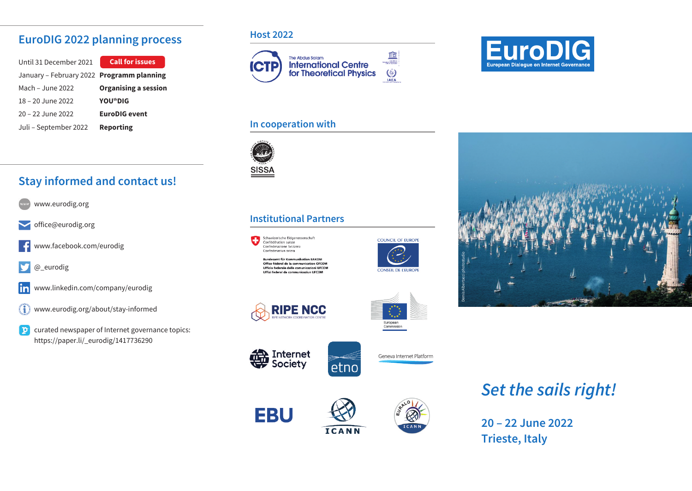### **EuroDIG 2022 planning process**

| Until 31 December 2021                    | <b>Call for issues</b>      |
|-------------------------------------------|-----------------------------|
| January – February 2022 Programm planning |                             |
| Mach – June 2022                          | <b>Organising a session</b> |
| 18 - 20 June 2022                         | YOU <sup>th</sup> DIG       |
| $20 - 22$ June 2022                       | <b>EuroDIG</b> event        |
| Juli - September 2022                     | <b>Reporting</b>            |

## **Stay informed and contact us!**

- www.eurodig.org
- office@eurodig.org
- www.facebook.com/eurodig -6
- v @\_eurodig
- www.linkedin.com/company/eurodig lin
- $\textcircled{\small{1}}$ www.eurodig.org/about/stay-informed
- **CO** curated newspaper of Internet governance topics: https://paper.li/\_eurodig/1417736290

#### **Host 2022**



#### **In cooperation with**



### **Institutional Partners**



Bundesamt für Kommunikation BAKOM Office fédéral de la communication OFCOM Ufficio federale delle comunicazioni UECON Uffizi federal da communicaziun UFCOM















# **Set the sails right!**

**20 – 22 June 2022 Trieste, Italy**